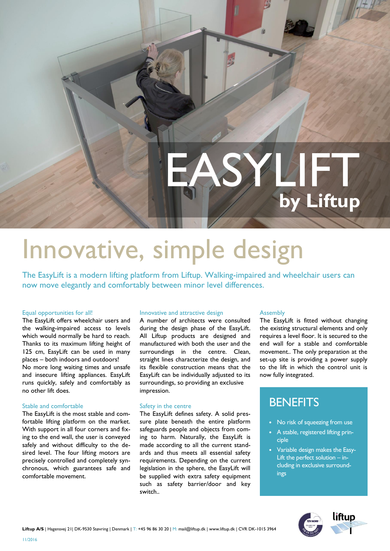# EASY **by Liftup**

## Innovative, simple design

The EasyLift is a modern lifting platform from Liftup. Walking-impaired and wheelchair users can now move elegantly and comfortably between minor level differences.

#### Equal opportunities for all!

The EasyLift offers wheelchair users and the walking-impaired access to levels which would normally be hard to reach. Thanks to its maximum lifting height of 125 cm, EasyLift can be used in many places – both indoors and outdoors! No more long waiting times and unsafe and insecure lifting appliances. EasyLift runs quickly, safely and comfortably as no other lift does.

#### Stable and comfortable

The EasyLift is the most stable and comfortable lifting platform on the market. With support in all four corners and fixing to the end wall, the user is conveyed safely and without difficulty to the desired level. The four lifting motors are precisely controlled and completely synchronous, which guarantees safe and comfortable movement.

#### Innovative and attractive design

A number of architects were consulted during the design phase of the EasyLift. All Liftup products are designed and manufactured with both the user and the surroundings in the centre. Clean, straight lines characterize the design, and its flexible construction means that the EasyLift can be individually adjusted to its surroundings, so providing an exclusive impression.

#### Safety in the centre

The EasyLift defines safety. A solid pressure plate beneath the entire platform safeguards people and objects from coming to harm. Naturally, the EasyLift is made according to all the current standards and thus meets all essential safety requirements. Depending on the current legislation in the sphere, the EasyLift will be supplied with extra safety equipment such as safety barrier/door and key switch..

#### Assembly

The EasyLift is fitted without changing the existing structural elements and only requires a level floor. It is secured to the end wall for a stable and comfortable movement.. The only preparation at the set-up site is providing a power supply to the lift in which the control unit is now fully integrated.

### **BENEFITS**

- No risk of squeezing from use
- A stable, registered lifting principle
- Variable design makes the Easy-Lift the perfect solution – including in exclusive surroundings